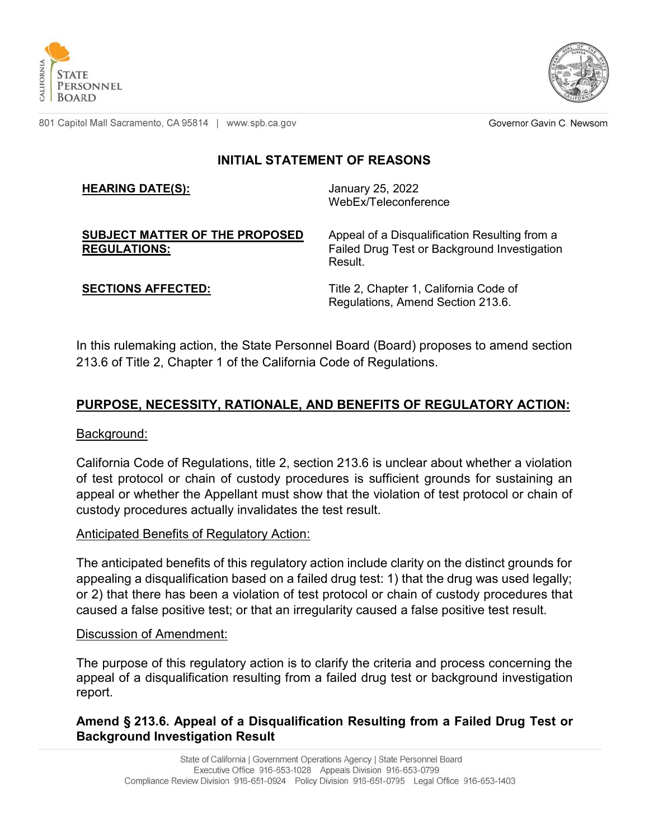



801 Capitol Mall Sacramento, CA 95814 | www.spb.ca.gov

Governor Gavin C. Newsom

## **INITIAL STATEMENT OF REASONS**

#### **HEARING DATE(S):** January 25, 2022

WebEx/Teleconference

#### **SUBJECT MATTER OF THE PROPOSED REGULATIONS:**

Appeal of a Disqualification Resulting from a Failed Drug Test or Background Investigation Result.

**SECTIONS AFFECTED:** Title 2, Chapter 1, California Code of Regulations, Amend Section 213.6.

In this rulemaking action, the State Personnel Board (Board) proposes to amend section 213.6 of Title 2, Chapter 1 of the California Code of Regulations.

# **PURPOSE, NECESSITY, RATIONALE, AND BENEFITS OF REGULATORY ACTION:**

### Background:

California Code of Regulations, title 2, section 213.6 is unclear about whether a violation of test protocol or chain of custody procedures is sufficient grounds for sustaining an appeal or whether the Appellant must show that the violation of test protocol or chain of custody procedures actually invalidates the test result.

### Anticipated Benefits of Regulatory Action:

The anticipated benefits of this regulatory action include clarity on the distinct grounds for appealing a disqualification based on a failed drug test: 1) that the drug was used legally; or 2) that there has been a violation of test protocol or chain of custody procedures that caused a false positive test; or that an irregularity caused a false positive test result.

### Discussion of Amendment:

The purpose of this regulatory action is to clarify the criteria and process concerning the appeal of a disqualification resulting from a failed drug test or background investigation report.

### **Amend § 213.6. Appeal of a Disqualification Resulting from a Failed Drug Test or Background Investigation Result**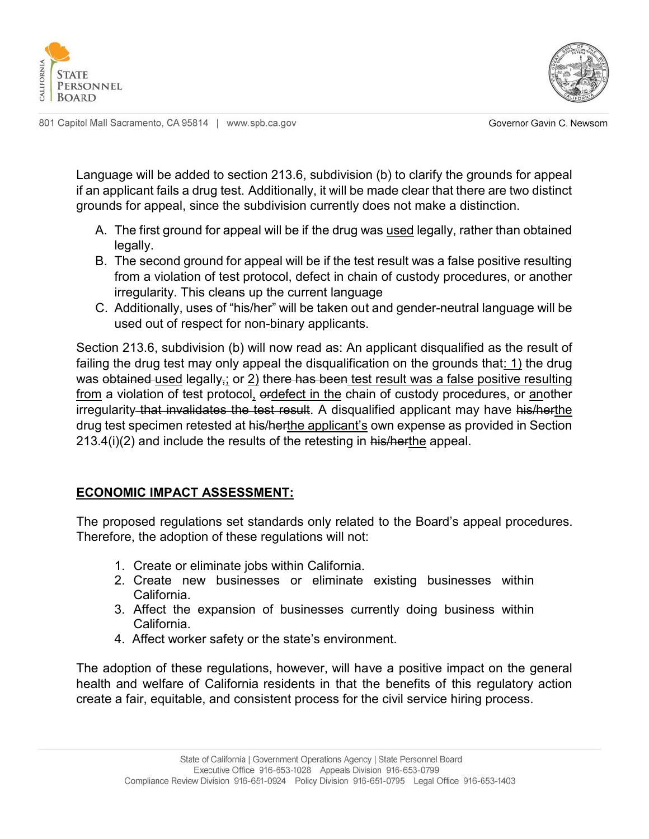



801 Capitol Mall Sacramento, CA 95814 | www.spb.ca.gov

Governor Gavin C. Newsom

Language will be added to section 213.6, subdivision (b) to clarify the grounds for appeal if an applicant fails a drug test. Additionally, it will be made clear that there are two distinct grounds for appeal, since the subdivision currently does not make a distinction.

- A. The first ground for appeal will be if the drug was used legally, rather than obtained legally.
- B. The second ground for appeal will be if the test result was a false positive resulting from a violation of test protocol, defect in chain of custody procedures, or another irregularity. This cleans up the current language
- C. Additionally, uses of "his/her" will be taken out and gender-neutral language will be used out of respect for non-binary applicants.

Section 213.6, subdivision (b) will now read as: An applicant disqualified as the result of failing the drug test may only appeal the disqualification on the grounds that: 1) the drug was obtained used legally, or 2) there has been test result was a false positive resulting from a violation of test protocol, erdefect in the chain of custody procedures, or another irregularity that invalidates the test result. A disqualified applicant may have his/herthe drug test specimen retested at his/herthe applicant's own expense as provided in Section  $213.4(i)(2)$  and include the results of the retesting in his/herthe appeal.

## **ECONOMIC IMPACT ASSESSMENT:**

The proposed regulations set standards only related to the Board's appeal procedures. Therefore, the adoption of these regulations will not:

- 1. Create or eliminate jobs within California.
- 2. Create new businesses or eliminate existing businesses within California.
- 3. Affect the expansion of businesses currently doing business within California.
- 4. Affect worker safety or the state's environment.

The adoption of these regulations, however, will have a positive impact on the general health and welfare of California residents in that the benefits of this regulatory action create a fair, equitable, and consistent process for the civil service hiring process.